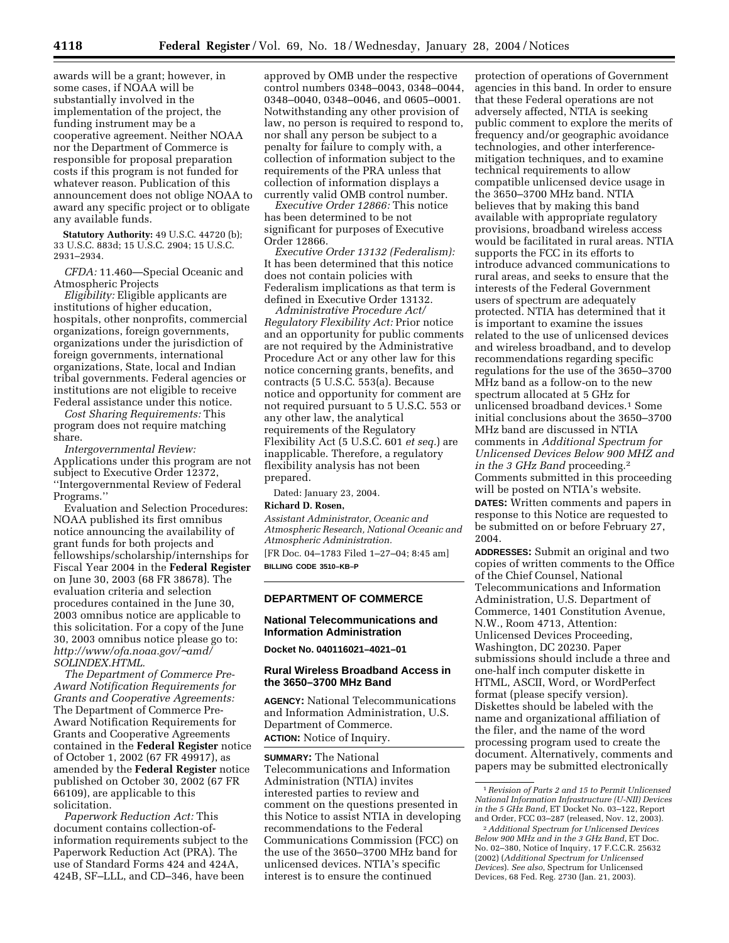awards will be a grant; however, in some cases, if NOAA will be substantially involved in the implementation of the project, the funding instrument may be a cooperative agreement. Neither NOAA nor the Department of Commerce is responsible for proposal preparation costs if this program is not funded for whatever reason. Publication of this announcement does not oblige NOAA to award any specific project or to obligate any available funds.

**Statutory Authority:** 49 U.S.C. 44720 (b); 33 U.S.C. 883d; 15 U.S.C. 2904; 15 U.S.C. 2931–2934.

*CFDA:* 11.460—Special Oceanic and Atmospheric Projects

*Eligibility:* Eligible applicants are institutions of higher education, hospitals, other nonprofits, commercial organizations, foreign governments, organizations under the jurisdiction of foreign governments, international organizations, State, local and Indian tribal governments. Federal agencies or institutions are not eligible to receive Federal assistance under this notice.

*Cost Sharing Requirements:* This program does not require matching share.

*Intergovernmental Review:* Applications under this program are not subject to Executive Order 12372, ''Intergovernmental Review of Federal Programs.''

Evaluation and Selection Procedures: NOAA published its first omnibus notice announcing the availability of grant funds for both projects and fellowships/scholarship/internships for Fiscal Year 2004 in the **Federal Register** on June 30, 2003 (68 FR 38678). The evaluation criteria and selection procedures contained in the June 30, 2003 omnibus notice are applicable to this solicitation. For a copy of the June 30, 2003 omnibus notice please go to: *http://www/ofa.noaa.gov/*∼*amd/ SOLINDEX.HTML.*

*The Department of Commerce Pre-Award Notification Requirements for Grants and Cooperative Agreements:* The Department of Commerce Pre-Award Notification Requirements for Grants and Cooperative Agreements contained in the **Federal Register** notice of October 1, 2002 (67 FR 49917), as amended by the **Federal Register** notice published on October 30, 2002 (67 FR 66109), are applicable to this solicitation.

*Paperwork Reduction Act:* This document contains collection-ofinformation requirements subject to the Paperwork Reduction Act (PRA). The use of Standard Forms 424 and 424A, 424B, SF–LLL, and CD–346, have been

approved by OMB under the respective control numbers 0348–0043, 0348–0044, 0348–0040, 0348–0046, and 0605–0001. Notwithstanding any other provision of law, no person is required to respond to, nor shall any person be subject to a penalty for failure to comply with, a collection of information subject to the requirements of the PRA unless that collection of information displays a currently valid OMB control number.

*Executive Order 12866:* This notice has been determined to be not significant for purposes of Executive Order 12866.

*Executive Order 13132 (Federalism):* It has been determined that this notice does not contain policies with Federalism implications as that term is defined in Executive Order 13132.

*Administrative Procedure Act/ Regulatory Flexibility Act:* Prior notice and an opportunity for public comments are not required by the Administrative Procedure Act or any other law for this notice concerning grants, benefits, and contracts (5 U.S.C. 553(a). Because notice and opportunity for comment are not required pursuant to 5 U.S.C. 553 or any other law, the analytical requirements of the Regulatory Flexibility Act (5 U.S.C. 601 *et seq.*) are inapplicable. Therefore, a regulatory flexibility analysis has not been prepared.

Dated: January 23, 2004.

## **Richard D. Rosen,**

*Assistant Administrator, Oceanic and Atmospheric Research, National Oceanic and Atmospheric Administration.* [FR Doc. 04–1783 Filed 1–27–04; 8:45 am] **BILLING CODE 3510–KB–P**

#### **DEPARTMENT OF COMMERCE**

#### **National Telecommunications and Information Administration**

**Docket No. 040116021–4021–01**

#### **Rural Wireless Broadband Access in the 3650–3700 MHz Band**

**AGENCY:** National Telecommunications and Information Administration, U.S. Department of Commerce. **ACTION:** Notice of Inquiry.

**SUMMARY:** The National Telecommunications and Information Administration (NTIA) invites interested parties to review and comment on the questions presented in this Notice to assist NTIA in developing recommendations to the Federal Communications Commission (FCC) on the use of the 3650–3700 MHz band for unlicensed devices. NTIA's specific interest is to ensure the continued

protection of operations of Government agencies in this band. In order to ensure that these Federal operations are not adversely affected, NTIA is seeking public comment to explore the merits of frequency and/or geographic avoidance technologies, and other interferencemitigation techniques, and to examine technical requirements to allow compatible unlicensed device usage in the 3650–3700 MHz band. NTIA believes that by making this band available with appropriate regulatory provisions, broadband wireless access would be facilitated in rural areas. NTIA supports the FCC in its efforts to introduce advanced communications to rural areas, and seeks to ensure that the interests of the Federal Government users of spectrum are adequately protected. NTIA has determined that it is important to examine the issues related to the use of unlicensed devices and wireless broadband, and to develop recommendations regarding specific regulations for the use of the 3650–3700 MHz band as a follow-on to the new spectrum allocated at 5 GHz for unlicensed broadband devices.1 Some initial conclusions about the 3650–3700 MHz band are discussed in NTIA comments in *Additional Spectrum for Unlicensed Devices Below 900 MHZ and in the 3 GHz Band* proceeding.2 Comments submitted in this proceeding will be posted on NTIA's website.

**DATES:** Written comments and papers in response to this Notice are requested to be submitted on or before February 27, 2004.

**ADDRESSES:** Submit an original and two copies of written comments to the Office of the Chief Counsel, National Telecommunications and Information Administration, U.S. Department of Commerce, 1401 Constitution Avenue, N.W., Room 4713, Attention: Unlicensed Devices Proceeding, Washington, DC 20230. Paper submissions should include a three and one-half inch computer diskette in HTML, ASCII, Word, or WordPerfect format (please specify version). Diskettes should be labeled with the name and organizational affiliation of the filer, and the name of the word processing program used to create the document. Alternatively, comments and papers may be submitted electronically

1*Revision of Parts 2 and 15 to Permit Unlicensed National Information Infrastructure (U-NII) Devices in the 5 GHz Band*, ET Docket No. 03–122, Report and Order, FCC 03–287 (released, Nov. 12, 2003).

2*Additional Spectrum for Unlicensed Devices Below 900 MHz and in the 3 GHz Band*, ET Doc. No. 02–380, Notice of Inquiry, 17 F.C.C.R. 25632 (2002) (*Additional Spectrum for Unlicensed Devices*). *See also*, Spectrum for Unlicensed Devices, 68 Fed. Reg. 2730 (Jan. 21, 2003).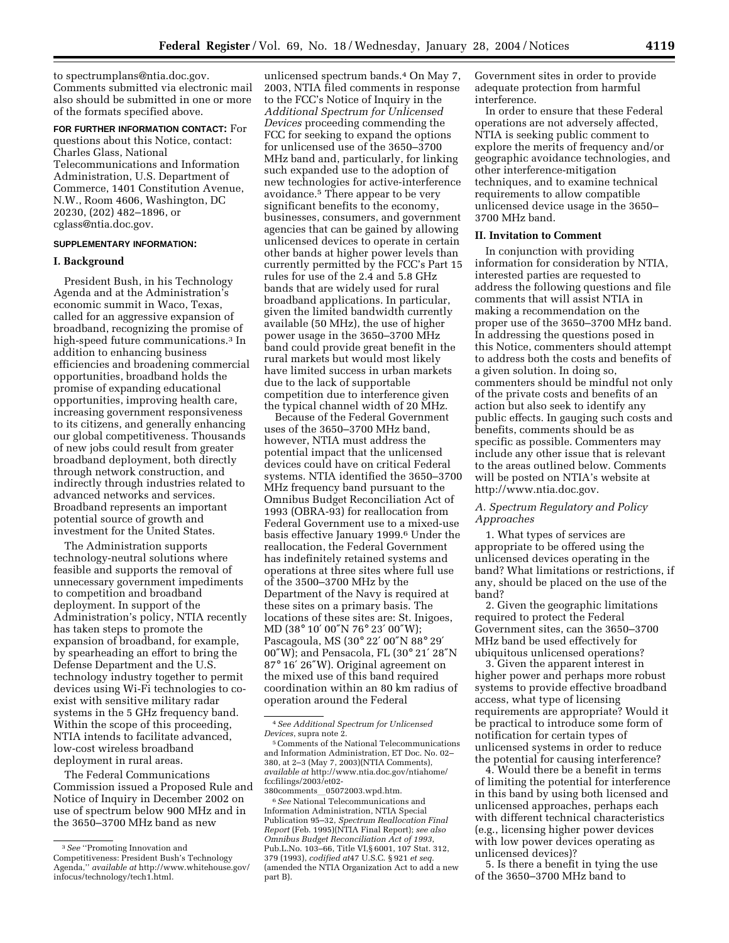to spectrumplans@ntia.doc.gov. Comments submitted via electronic mail also should be submitted in one or more of the formats specified above.

**FOR FURTHER INFORMATION CONTACT:** For questions about this Notice, contact: Charles Glass, National Telecommunications and Information Administration, U.S. Department of Commerce, 1401 Constitution Avenue, N.W., Room 4606, Washington, DC 20230, (202) 482–1896, or cglass@ntia.doc.gov.

#### **SUPPLEMENTARY INFORMATION:**

## **I. Background**

President Bush, in his Technology Agenda and at the Administration's economic summit in Waco, Texas, called for an aggressive expansion of broadband, recognizing the promise of high-speed future communications.3 In addition to enhancing business efficiencies and broadening commercial opportunities, broadband holds the promise of expanding educational opportunities, improving health care, increasing government responsiveness to its citizens, and generally enhancing our global competitiveness. Thousands of new jobs could result from greater broadband deployment, both directly through network construction, and indirectly through industries related to advanced networks and services. Broadband represents an important potential source of growth and investment for the United States.

The Administration supports technology-neutral solutions where feasible and supports the removal of unnecessary government impediments to competition and broadband deployment. In support of the Administration's policy, NTIA recently has taken steps to promote the expansion of broadband, for example, by spearheading an effort to bring the Defense Department and the U.S. technology industry together to permit devices using Wi-Fi technologies to coexist with sensitive military radar systems in the 5 GHz frequency band. Within the scope of this proceeding, NTIA intends to facilitate advanced, low-cost wireless broadband deployment in rural areas.

The Federal Communications Commission issued a Proposed Rule and Notice of Inquiry in December 2002 on use of spectrum below 900 MHz and in the 3650–3700 MHz band as new

unlicensed spectrum bands.4 On May 7, 2003, NTIA filed comments in response to the FCC's Notice of Inquiry in the *Additional Spectrum for Unlicensed Devices* proceeding commending the FCC for seeking to expand the options for unlicensed use of the 3650–3700 MHz band and, particularly, for linking such expanded use to the adoption of new technologies for active-interference avoidance.5 There appear to be very significant benefits to the economy, businesses, consumers, and government agencies that can be gained by allowing unlicensed devices to operate in certain other bands at higher power levels than currently permitted by the FCC's Part 15 rules for use of the 2.4 and 5.8 GHz bands that are widely used for rural broadband applications. In particular, given the limited bandwidth currently available (50 MHz), the use of higher power usage in the 3650–3700 MHz band could provide great benefit in the rural markets but would most likely have limited success in urban markets due to the lack of supportable competition due to interference given the typical channel width of 20 MHz.

Because of the Federal Government uses of the 3650–3700 MHz band, however, NTIA must address the potential impact that the unlicensed devices could have on critical Federal systems. NTIA identified the 3650–3700 MHz frequency band pursuant to the Omnibus Budget Reconciliation Act of 1993 (OBRA-93) for reallocation from Federal Government use to a mixed-use basis effective January 1999.6 Under the reallocation, the Federal Government has indefinitely retained systems and operations at three sites where full use of the 3500–3700 MHz by the Department of the Navy is required at these sites on a primary basis. The locations of these sites are: St. Inigoes, MD (38° 10′ 00″N 76° 23′ 00″W); Pascagoula, MS (30° 22′ 00″N 88° 29′ 00″W); and Pensacola, FL (30° 21′ 28″N 87° 16′ 26″W). Original agreement on the mixed use of this band required coordination within an 80 km radius of operation around the Federal

380comments\_05072003.wpd.htm. 6*See* National Telecommunications and Information Administration, NTIA Special Publication 95–32, *Spectrum Reallocation Final Report* (Feb. 1995)(NTIA Final Report); *see also Omnibus Budget Reconciliation Act of 1993*, Pub.L.No. 103–66, Title VI,§ 6001, 107 Stat. 312, 379 (1993), *codified at*47 U.S.C. § 921 *et seq.* (amended the NTIA Organization Act to add a new part B).

Government sites in order to provide adequate protection from harmful interference.

In order to ensure that these Federal operations are not adversely affected, NTIA is seeking public comment to explore the merits of frequency and/or geographic avoidance technologies, and other interference-mitigation techniques, and to examine technical requirements to allow compatible unlicensed device usage in the 3650– 3700 MHz band.

#### **II. Invitation to Comment**

In conjunction with providing information for consideration by NTIA, interested parties are requested to address the following questions and file comments that will assist NTIA in making a recommendation on the proper use of the 3650–3700 MHz band. In addressing the questions posed in this Notice, commenters should attempt to address both the costs and benefits of a given solution. In doing so, commenters should be mindful not only of the private costs and benefits of an action but also seek to identify any public effects. In gauging such costs and benefits, comments should be as specific as possible. Commenters may include any other issue that is relevant to the areas outlined below. Comments will be posted on NTIA's website at http://www.ntia.doc.gov.

# *A. Spectrum Regulatory and Policy Approaches*

1. What types of services are appropriate to be offered using the unlicensed devices operating in the band? What limitations or restrictions, if any, should be placed on the use of the band?

2. Given the geographic limitations required to protect the Federal Government sites, can the 3650–3700 MHz band be used effectively for ubiquitous unlicensed operations?

3. Given the apparent interest in higher power and perhaps more robust systems to provide effective broadband access, what type of licensing requirements are appropriate? Would it be practical to introduce some form of notification for certain types of unlicensed systems in order to reduce the potential for causing interference?

4. Would there be a benefit in terms of limiting the potential for interference in this band by using both licensed and unlicensed approaches, perhaps each with different technical characteristics (e.g., licensing higher power devices with low power devices operating as unlicensed devices)?

5. Is there a benefit in tying the use of the 3650–3700 MHz band to

<sup>3</sup>*See* ''Promoting Innovation and Competitiveness: President Bush's Technology Agenda,'' *available at* http://www.whitehouse.gov/ infocus/technology/tech1.html.

<sup>4</sup>*See Additional Spectrum for Unlicensed Devices*, supra note 2.

<sup>5</sup>Comments of the National Telecommunications and Information Administration, ET Doc. No. 02– 380, at 2–3 (May 7, 2003)(NTIA Comments), *available at* http://www.ntia.doc.gov/ntiahome/ fccfilings/2003/et02-